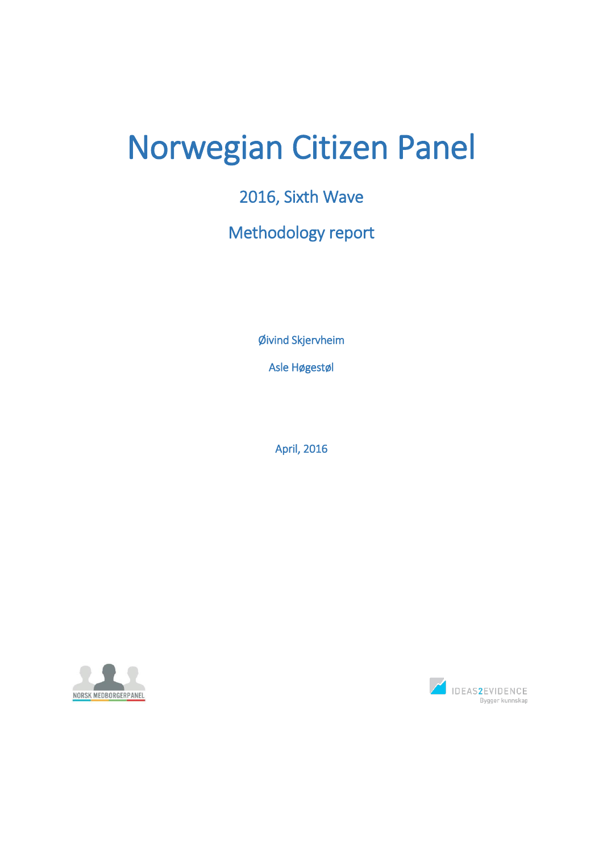# Norwegian Citizen Panel

## 2016, Sixth Wave

# Methodology report

Øivind Skjervheim

Asle Høgestøl

April, 2016



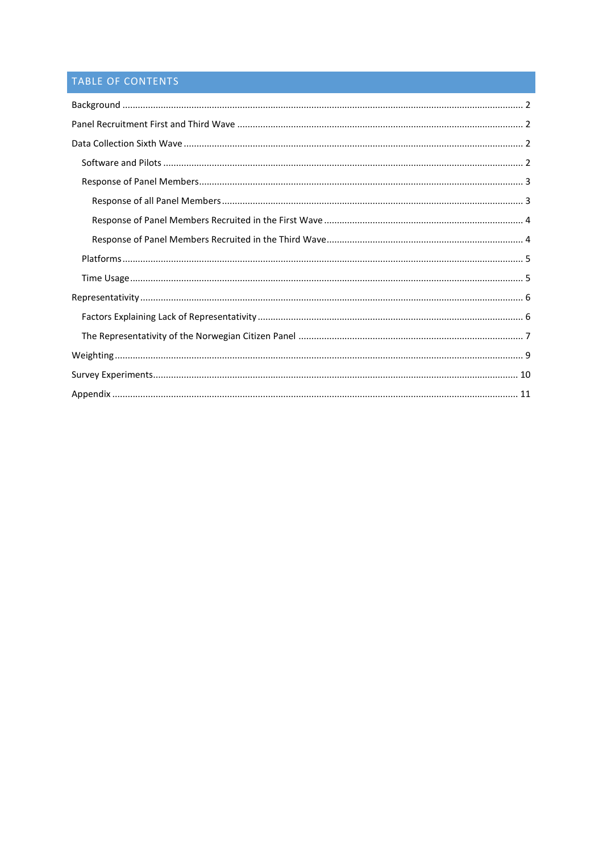### TABLE OF CONTENTS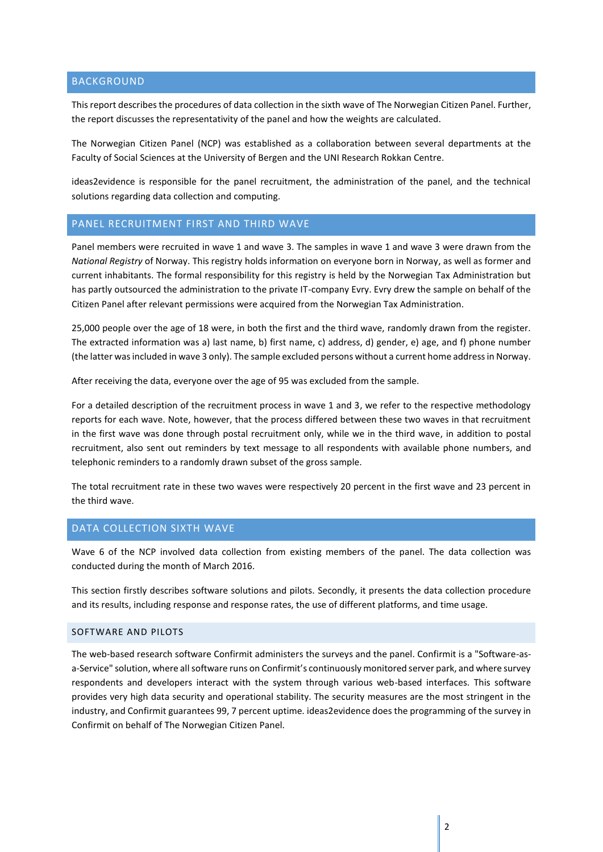#### <span id="page-2-0"></span>BACKGROUND

This report describes the procedures of data collection in the sixth wave of The Norwegian Citizen Panel. Further, the report discusses the representativity of the panel and how the weights are calculated.

The Norwegian Citizen Panel (NCP) was established as a collaboration between several departments at the Faculty of Social Sciences at the University of Bergen and the UNI Research Rokkan Centre.

ideas2evidence is responsible for the panel recruitment, the administration of the panel, and the technical solutions regarding data collection and computing.

#### <span id="page-2-1"></span>PANEL RECRUITMENT FIRST AND THIRD WAVE

Panel members were recruited in wave 1 and wave 3. The samples in wave 1 and wave 3 were drawn from the *National Registry* of Norway. This registry holds information on everyone born in Norway, as well as former and current inhabitants. The formal responsibility for this registry is held by the Norwegian Tax Administration but has partly outsourced the administration to the private IT-company Evry. Evry drew the sample on behalf of the Citizen Panel after relevant permissions were acquired from the Norwegian Tax Administration.

25,000 people over the age of 18 were, in both the first and the third wave, randomly drawn from the register. The extracted information was a) last name, b) first name, c) address, d) gender, e) age, and f) phone number (the latter was included in wave 3 only). The sample excluded persons without a current home address in Norway.

After receiving the data, everyone over the age of 95 was excluded from the sample.

For a detailed description of the recruitment process in wave 1 and 3, we refer to the respective methodology reports for each wave. Note, however, that the process differed between these two waves in that recruitment in the first wave was done through postal recruitment only, while we in the third wave, in addition to postal recruitment, also sent out reminders by text message to all respondents with available phone numbers, and telephonic reminders to a randomly drawn subset of the gross sample.

The total recruitment rate in these two waves were respectively 20 percent in the first wave and 23 percent in the third wave.

#### <span id="page-2-2"></span>DATA COLLECTION SIXTH WAVE

Wave 6 of the NCP involved data collection from existing members of the panel. The data collection was conducted during the month of March 2016.

This section firstly describes software solutions and pilots. Secondly, it presents the data collection procedure and its results, including response and response rates, the use of different platforms, and time usage.

#### <span id="page-2-3"></span>SOFTWARE AND PILOTS

The web-based research software Confirmit administers the surveys and the panel. Confirmit is a "Software-asa-Service" solution, where all software runs on Confirmit's continuously monitored server park, and where survey respondents and developers interact with the system through various web-based interfaces. This software provides very high data security and operational stability. The security measures are the most stringent in the industry, and Confirmit guarantees 99, 7 percent uptime. ideas2evidence does the programming of the survey in Confirmit on behalf of The Norwegian Citizen Panel.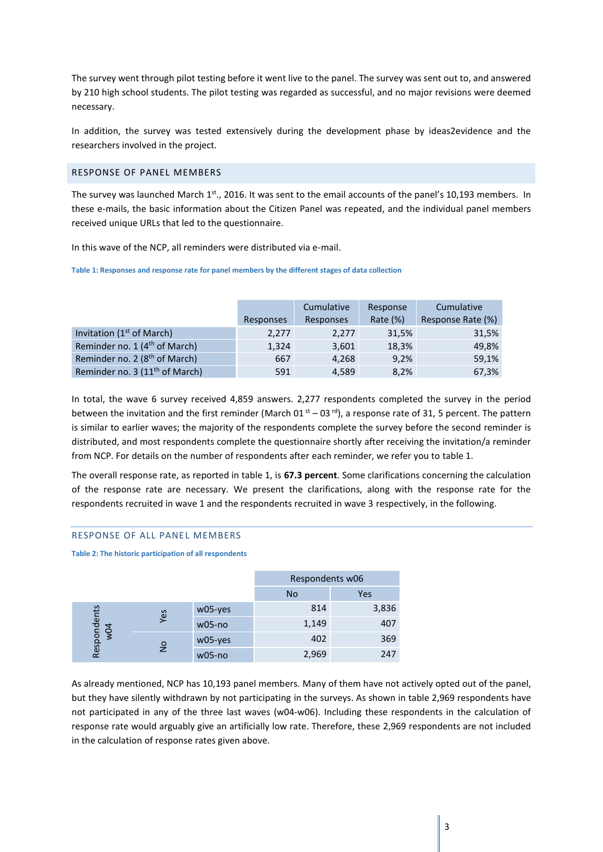The survey went through pilot testing before it went live to the panel. The survey was sent out to, and answered by 210 high school students. The pilot testing was regarded as successful, and no major revisions were deemed necessary.

In addition, the survey was tested extensively during the development phase by ideas2evidence and the researchers involved in the project.

#### <span id="page-3-0"></span>RESPONSE OF PANEL MEMBERS

The survey was launched March 1<sup>st</sup>., 2016. It was sent to the email accounts of the panel's 10,193 members. In these e-mails, the basic information about the Citizen Panel was repeated, and the individual panel members received unique URLs that led to the questionnaire.

In this wave of the NCP, all reminders were distributed via e-mail.

**Table 1: Responses and response rate for panel members by the different stages of data collection**

|                                            |           | Cumulative<br>Response |          | Cumulative        |
|--------------------------------------------|-----------|------------------------|----------|-------------------|
|                                            | Responses | Responses              | Rate (%) | Response Rate (%) |
| Invitation (1 <sup>st</sup> of March)      | 2,277     | 2,277                  | 31,5%    | 31,5%             |
| Reminder no. 1 (4 <sup>th</sup> of March)  | 1,324     | 3,601                  | 18,3%    | 49,8%             |
| Reminder no. 2 (8 <sup>th</sup> of March)  | 667       | 4,268                  | 9,2%     | 59,1%             |
| Reminder no. 3 (11 <sup>th</sup> of March) | 591       | 4,589                  | 8,2%     | 67,3%             |

In total, the wave 6 survey received 4,859 answers. 2,277 respondents completed the survey in the period between the invitation and the first reminder (March 01<sup>st</sup> – 03<sup>rd</sup>), a response rate of 31, 5 percent. The pattern is similar to earlier waves; the majority of the respondents complete the survey before the second reminder is distributed, and most respondents complete the questionnaire shortly after receiving the invitation/a reminder from NCP. For details on the number of respondents after each reminder, we refer you to table 1.

The overall response rate, as reported in table 1, is **67.3 percent**. Some clarifications concerning the calculation of the response rate are necessary. We present the clarifications, along with the response rate for the respondents recruited in wave 1 and the respondents recruited in wave 3 respectively, in the following.

#### <span id="page-3-1"></span>RESPONSE OF ALL PANEL MEMBERS

**Table 2: The historic participation of all respondents**

|                    |               |          | Respondents w06 |       |  |
|--------------------|---------------|----------|-----------------|-------|--|
|                    |               |          | No              | Yes   |  |
|                    | Yes           | w05-yes  | 814             | 3,836 |  |
|                    |               | $w05-no$ | 1,149           | 407   |  |
| Respondents<br>w04 |               | w05-yes  | 402             | 369   |  |
|                    | $\frac{1}{2}$ | $w05-no$ | 2,969           | 247   |  |

As already mentioned, NCP has 10,193 panel members. Many of them have not actively opted out of the panel, but they have silently withdrawn by not participating in the surveys. As shown in table 2,969 respondents have not participated in any of the three last waves (w04-w06). Including these respondents in the calculation of response rate would arguably give an artificially low rate. Therefore, these 2,969 respondents are not included in the calculation of response rates given above.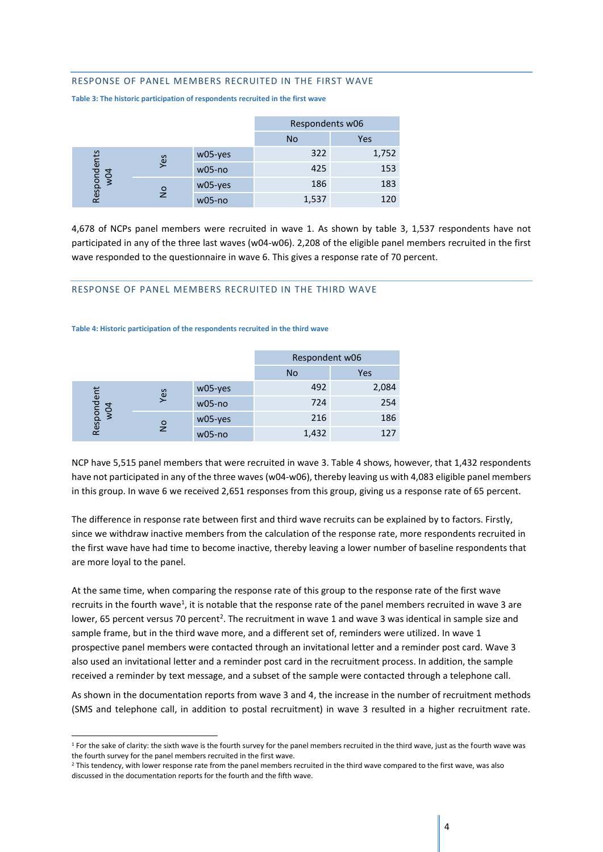#### <span id="page-4-0"></span>RESPONSE OF PANEL MEMBERS RECRUITED IN THE FIRST WAVE

**Table 3: The historic participation of respondents recruited in the first wave**

|                    |               |          | Respondents w06 |       |  |
|--------------------|---------------|----------|-----------------|-------|--|
|                    |               |          | <b>No</b>       | Yes   |  |
|                    |               | w05-yes  | 322             | 1,752 |  |
|                    | Yes           | $w05-no$ | 425             | 153   |  |
| Respondents<br>w04 |               | w05-yes  | 186             | 183   |  |
|                    | $\frac{1}{2}$ | $w05-no$ | 1,537           | 120   |  |

4,678 of NCPs panel members were recruited in wave 1. As shown by table 3, 1,537 respondents have not participated in any of the three last waves (w04-w06). 2,208 of the eligible panel members recruited in the first wave responded to the questionnaire in wave 6. This gives a response rate of 70 percent.

#### <span id="page-4-1"></span>RESPONSE OF PANEL MEMBERS RECRUITED IN THE THIRD WAVE

#### **Table 4: Historic participation of the respondents recruited in the third wave**

**.** 

|                   |               |          | Respondent w06 |       |  |
|-------------------|---------------|----------|----------------|-------|--|
|                   |               |          | No.            | Yes   |  |
|                   |               | w05-yes  | 492            | 2,084 |  |
|                   | Yes           | $w05-no$ | 724            | 254   |  |
| Respondent<br>w04 | $\frac{1}{2}$ | w05-yes  | 216            | 186   |  |
|                   |               | $w05-no$ | 1,432          | 127   |  |

NCP have 5,515 panel members that were recruited in wave 3. Table 4 shows, however, that 1,432 respondents have not participated in any of the three waves (w04-w06), thereby leaving us with 4,083 eligible panel members in this group. In wave 6 we received 2,651 responses from this group, giving us a response rate of 65 percent.

The difference in response rate between first and third wave recruits can be explained by to factors. Firstly, since we withdraw inactive members from the calculation of the response rate, more respondents recruited in the first wave have had time to become inactive, thereby leaving a lower number of baseline respondents that are more loyal to the panel.

At the same time, when comparing the response rate of this group to the response rate of the first wave recruits in the fourth wave<sup>1</sup>, it is notable that the response rate of the panel members recruited in wave 3 are lower, 65 percent versus 70 percent<sup>2</sup>. The recruitment in wave 1 and wave 3 was identical in sample size and sample frame, but in the third wave more, and a different set of, reminders were utilized. In wave 1 prospective panel members were contacted through an invitational letter and a reminder post card. Wave 3 also used an invitational letter and a reminder post card in the recruitment process. In addition, the sample received a reminder by text message, and a subset of the sample were contacted through a telephone call.

As shown in the documentation reports from wave 3 and 4, the increase in the number of recruitment methods (SMS and telephone call, in addition to postal recruitment) in wave 3 resulted in a higher recruitment rate.

<sup>&</sup>lt;sup>1</sup> For the sake of clarity: the sixth wave is the fourth survey for the panel members recruited in the third wave, just as the fourth wave was the fourth survey for the panel members recruited in the first wave.

<sup>&</sup>lt;sup>2</sup> This tendency, with lower response rate from the panel members recruited in the third wave compared to the first wave, was also discussed in the documentation reports for the fourth and the fifth wave.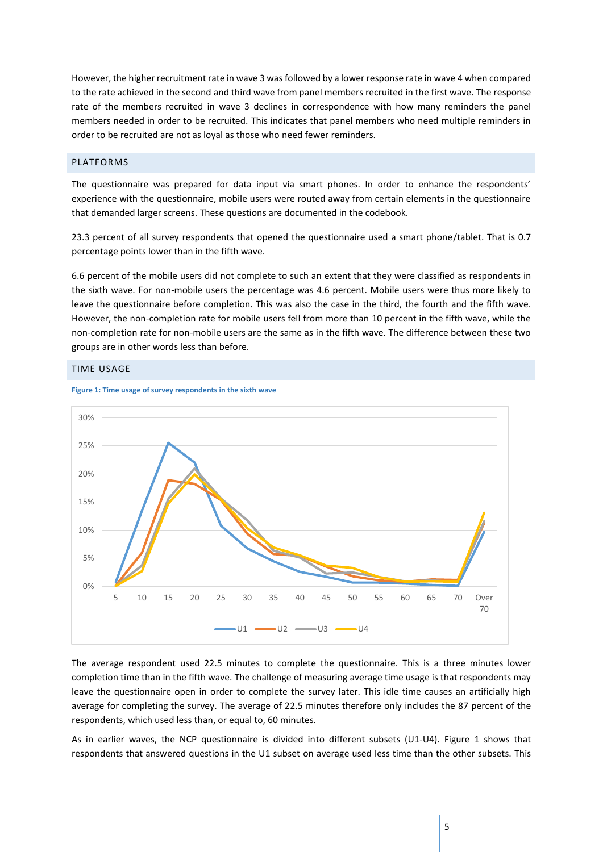However, the higher recruitment rate in wave 3 wasfollowed by a lower response rate in wave 4 when compared to the rate achieved in the second and third wave from panel members recruited in the first wave. The response rate of the members recruited in wave 3 declines in correspondence with how many reminders the panel members needed in order to be recruited. This indicates that panel members who need multiple reminders in order to be recruited are not as loyal as those who need fewer reminders.

#### <span id="page-5-0"></span>PLATFORMS

The questionnaire was prepared for data input via smart phones. In order to enhance the respondents' experience with the questionnaire, mobile users were routed away from certain elements in the questionnaire that demanded larger screens. These questions are documented in the codebook.

23.3 percent of all survey respondents that opened the questionnaire used a smart phone/tablet. That is 0.7 percentage points lower than in the fifth wave.

6.6 percent of the mobile users did not complete to such an extent that they were classified as respondents in the sixth wave. For non-mobile users the percentage was 4.6 percent. Mobile users were thus more likely to leave the questionnaire before completion. This was also the case in the third, the fourth and the fifth wave. However, the non-completion rate for mobile users fell from more than 10 percent in the fifth wave, while the non-completion rate for non-mobile users are the same as in the fifth wave. The difference between these two groups are in other words less than before.

#### <span id="page-5-1"></span>TIME USAGE





The average respondent used 22.5 minutes to complete the questionnaire. This is a three minutes lower completion time than in the fifth wave. The challenge of measuring average time usage is that respondents may leave the questionnaire open in order to complete the survey later. This idle time causes an artificially high average for completing the survey. The average of 22.5 minutes therefore only includes the 87 percent of the respondents, which used less than, or equal to, 60 minutes.

As in earlier waves, the NCP questionnaire is divided into different subsets (U1-U4). Figure 1 shows that respondents that answered questions in the U1 subset on average used less time than the other subsets. This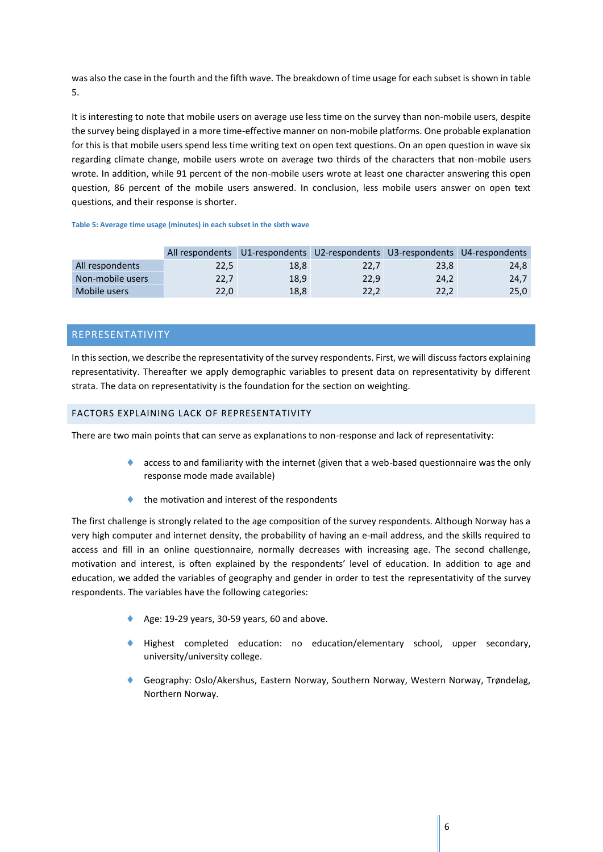was also the case in the fourth and the fifth wave. The breakdown of time usage for each subset is shown in table 5.

It is interesting to note that mobile users on average use less time on the survey than non-mobile users, despite the survey being displayed in a more time-effective manner on non-mobile platforms. One probable explanation for this is that mobile users spend less time writing text on open text questions. On an open question in wave six regarding climate change, mobile users wrote on average two thirds of the characters that non-mobile users wrote. In addition, while 91 percent of the non-mobile users wrote at least one character answering this open question, 86 percent of the mobile users answered. In conclusion, less mobile users answer on open text questions, and their response is shorter.

#### **Table 5: Average time usage (minutes) in each subset in the sixth wave**

|                  |      |      | All respondents U1-respondents U2-respondents U3-respondents U4-respondents |      |      |
|------------------|------|------|-----------------------------------------------------------------------------|------|------|
| All respondents  | 22,5 | 18.8 | 22.7                                                                        | 23.8 | 24,8 |
| Non-mobile users | 22,7 | 18.9 | 22.9                                                                        | 24.2 | 24.7 |
| Mobile users     | 22.0 | 18,8 | 22.2                                                                        | 22.2 | 25,0 |

#### <span id="page-6-0"></span>REPRESENTATIVITY

In this section, we describe the representativity of the survey respondents. First, we will discuss factors explaining representativity. Thereafter we apply demographic variables to present data on representativity by different strata. The data on representativity is the foundation for the section on weighting.

#### <span id="page-6-1"></span>FACTORS EXPLAINING LACK OF REPRESENTATIVITY

There are two main points that can serve as explanations to non-response and lack of representativity:

- access to and familiarity with the internet (given that a web-based questionnaire was the only response mode made available)
- the motivation and interest of the respondents

The first challenge is strongly related to the age composition of the survey respondents. Although Norway has a very high computer and internet density, the probability of having an e-mail address, and the skills required to access and fill in an online questionnaire, normally decreases with increasing age. The second challenge, motivation and interest, is often explained by the respondents' level of education. In addition to age and education, we added the variables of geography and gender in order to test the representativity of the survey respondents. The variables have the following categories:

- Age:  $19-29$  years,  $30-59$  years, 60 and above.
- Highest completed education: no education/elementary school, upper secondary, university/university college.
- Geography: Oslo/Akershus, Eastern Norway, Southern Norway, Western Norway, Trøndelag, Northern Norway.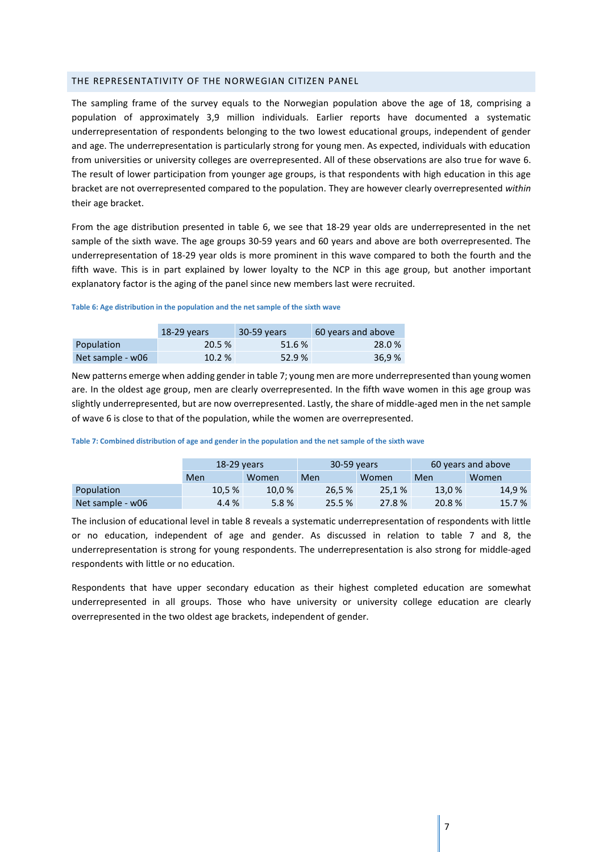#### <span id="page-7-0"></span>THE REPRESENTATIVITY OF THE NORWEGIAN CITIZEN PANEL

The sampling frame of the survey equals to the Norwegian population above the age of 18, comprising a population of approximately 3,9 million individuals. Earlier reports have documented a systematic underrepresentation of respondents belonging to the two lowest educational groups, independent of gender and age. The underrepresentation is particularly strong for young men. As expected, individuals with education from universities or university colleges are overrepresented. All of these observations are also true for wave 6. The result of lower participation from younger age groups, is that respondents with high education in this age bracket are not overrepresented compared to the population. They are however clearly overrepresented *within* their age bracket.

From the age distribution presented in table 6, we see that 18-29 year olds are underrepresented in the net sample of the sixth wave. The age groups 30-59 years and 60 years and above are both overrepresented. The underrepresentation of 18-29 year olds is more prominent in this wave compared to both the fourth and the fifth wave. This is in part explained by lower loyalty to the NCP in this age group, but another important explanatory factor is the aging of the panel since new members last were recruited.

#### **Table 6: Age distribution in the population and the net sample of the sixth wave**

|                  | $18-29$ years | 30-59 years | 60 years and above |  |
|------------------|---------------|-------------|--------------------|--|
| Population       | 20.5%         | 51.6 %      | 28.0%              |  |
| Net sample - w06 | 10.2%         | 52.9%       | 36.9%              |  |

New patterns emerge when adding gender in table 7; young men are more underrepresented than young women are. In the oldest age group, men are clearly overrepresented. In the fifth wave women in this age group was slightly underrepresented, but are now overrepresented. Lastly, the share of middle-aged men in the net sample of wave 6 is close to that of the population, while the women are overrepresented.

#### **Table 7: Combined distribution of age and gender in the population and the net sample of the sixth wave**

|                  | $18-29$ years |        | 30-59 years |        | 60 years and above |        |  |
|------------------|---------------|--------|-------------|--------|--------------------|--------|--|
|                  | Men           | Women  | Men         | Women  | Men                | Women  |  |
| Population       | 10.5 %        | 10.0 % | 26,5 %      | 25.1%  | 13.0%              | 14,9%  |  |
| Net sample - w06 | 4.4 %         | 5.8%   | 25.5%       | 27.8 % | 20.8%              | 15.7 % |  |

The inclusion of educational level in table 8 reveals a systematic underrepresentation of respondents with little or no education, independent of age and gender. As discussed in relation to table 7 and 8, the underrepresentation is strong for young respondents. The underrepresentation is also strong for middle-aged respondents with little or no education.

Respondents that have upper secondary education as their highest completed education are somewhat underrepresented in all groups. Those who have university or university college education are clearly overrepresented in the two oldest age brackets, independent of gender.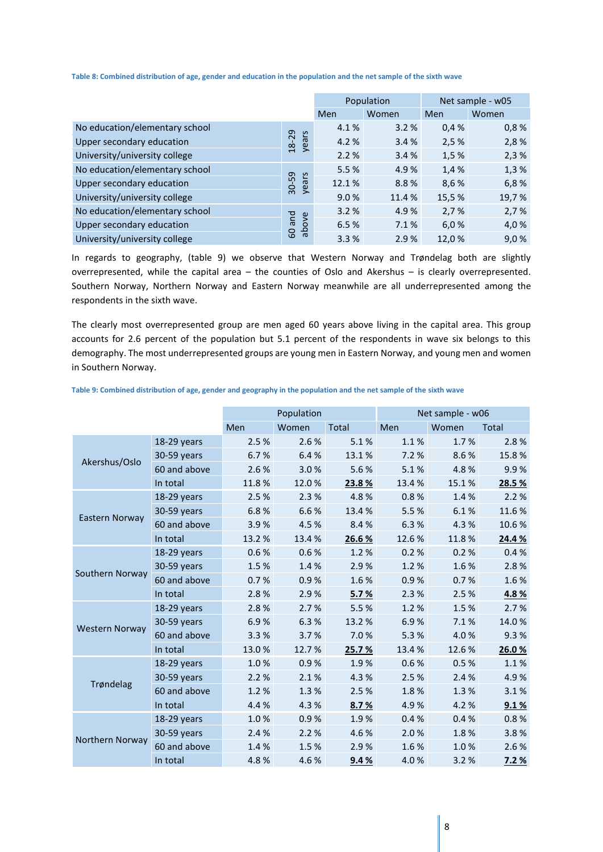**Table 8: Combined distribution of age, gender and education in the population and the net sample of the sixth wave**

|                                |                |       | Population | Net sample - w05 |       |  |
|--------------------------------|----------------|-------|------------|------------------|-------|--|
|                                |                | Men   | Women      | Men              | Women |  |
| No education/elementary school |                | 4.1%  | 3.2%       | 0.4%             | 0,8%  |  |
| Upper secondary education      | years<br>18-29 | 4.2%  | 3.4%       | 2,5%             | 2,8%  |  |
| University/university college  |                | 2.2%  | 3.4%       | 1,5%             | 2,3%  |  |
| No education/elementary school |                | 5.5%  | 4.9%       | 1,4%             | 1,3%  |  |
| Upper secondary education      | 30-59<br>years | 12.1% | 8.8%       | 8,6%             | 6,8%  |  |
| University/university college  |                | 9.0%  | 11.4 %     | 15,5 %           | 19,7% |  |
| No education/elementary school |                | 3.2%  | 4.9%       | 2,7%             | 2,7%  |  |
| Upper secondary education      | pue<br>above   | 6.5%  | 7.1%       | 6,0%             | 4,0 % |  |
| University/university college  | 60             | 3.3%  | 2.9%       | 12,0%            | 9,0%  |  |

In regards to geography, (table 9) we observe that Western Norway and Trøndelag both are slightly overrepresented, while the capital area – the counties of Oslo and Akershus – is clearly overrepresented. Southern Norway, Northern Norway and Eastern Norway meanwhile are all underrepresented among the respondents in the sixth wave.

The clearly most overrepresented group are men aged 60 years above living in the capital area. This group accounts for 2.6 percent of the population but 5.1 percent of the respondents in wave six belongs to this demography. The most underrepresented groups are young men in Eastern Norway, and young men and women in Southern Norway.

|                       |              | Population |       |              | Net sample - w06 |       |              |
|-----------------------|--------------|------------|-------|--------------|------------------|-------|--------------|
|                       |              | Men        | Women | <b>Total</b> | Men              | Women | <b>Total</b> |
|                       | 18-29 years  | 2.5 %      | 2.6%  | 5.1%         | 1.1%             | 1.7%  | 2.8%         |
| Akershus/Oslo         | 30-59 years  | 6.7%       | 6.4%  | 13.1%        | 7.2 %            | 8.6%  | 15.8%        |
|                       | 60 and above | 2.6%       | 3.0%  | 5.6%         | 5.1%             | 4.8%  | 9.9%         |
|                       | In total     | 11.8%      | 12.0% | 23.8%        | 13.4%            | 15.1% | 28.5 %       |
|                       | 18-29 years  | 2.5%       | 2.3%  | 4.8%         | 0.8%             | 1.4%  | 2.2%         |
| Eastern Norway        | 30-59 years  | 6.8%       | 6.6%  | 13.4%        | 5.5%             | 6.1%  | 11.6%        |
|                       | 60 and above | 3.9%       | 4.5%  | 8.4%         | 6.3%             | 4.3%  | 10.6%        |
|                       | In total     | 13.2 %     | 13.4% | 26.6%        | 12.6%            | 11.8% | 24.4 %       |
|                       | 18-29 years  | 0.6%       | 0.6%  | 1.2%         | 0.2 %            | 0.2 % | 0.4%         |
| Southern Norway       | 30-59 years  | 1.5%       | 1.4%  | 2.9%         | 1.2%             | 1.6%  | 2.8%         |
|                       | 60 and above | 0.7%       | 0.9%  | 1.6%         | 0.9%             | 0.7%  | 1.6%         |
|                       | In total     | 2.8%       | 2.9%  | 5.7%         | 2.3 %            | 2.5%  | 4.8%         |
|                       | 18-29 years  | 2.8%       | 2.7%  | 5.5%         | 1.2%             | 1.5%  | 2.7%         |
| <b>Western Norway</b> | 30-59 years  | 6.9%       | 6.3%  | 13.2 %       | 6.9%             | 7.1%  | 14.0%        |
|                       | 60 and above | 3.3%       | 3.7%  | 7.0%         | 5.3 %            | 4.0%  | 9.3%         |
|                       | In total     | 13.0%      | 12.7% | 25.7 %       | 13.4%            | 12.6% | 26.0%        |
|                       | 18-29 years  | 1.0%       | 0.9%  | 1.9%         | 0.6%             | 0.5%  | 1.1%         |
| Trøndelag             | 30-59 years  | 2.2 %      | 2.1%  | 4.3%         | 2.5 %            | 2.4%  | 4.9%         |
|                       | 60 and above | 1.2%       | 1.3%  | 2.5%         | 1.8%             | 1.3%  | 3.1%         |
|                       | In total     | 4.4%       | 4.3%  | 8.7%         | 4.9%             | 4.2%  | 9.1%         |
|                       | 18-29 years  | 1.0%       | 0.9%  | 1.9%         | 0.4%             | 0.4%  | 0.8 %        |
| Northern Norway       | 30-59 years  | 2.4%       | 2.2%  | 4.6%         | 2.0%             | 1.8%  | 3.8%         |
|                       | 60 and above | 1.4%       | 1.5%  | 2.9%         | 1.6%             | 1.0%  | 2.6%         |
|                       | In total     | 4.8%       | 4.6%  | 9.4%         | 4.0%             | 3.2%  | 7.2%         |

**Table 9: Combined distribution of age, gender and geography in the population and the net sample of the sixth wave**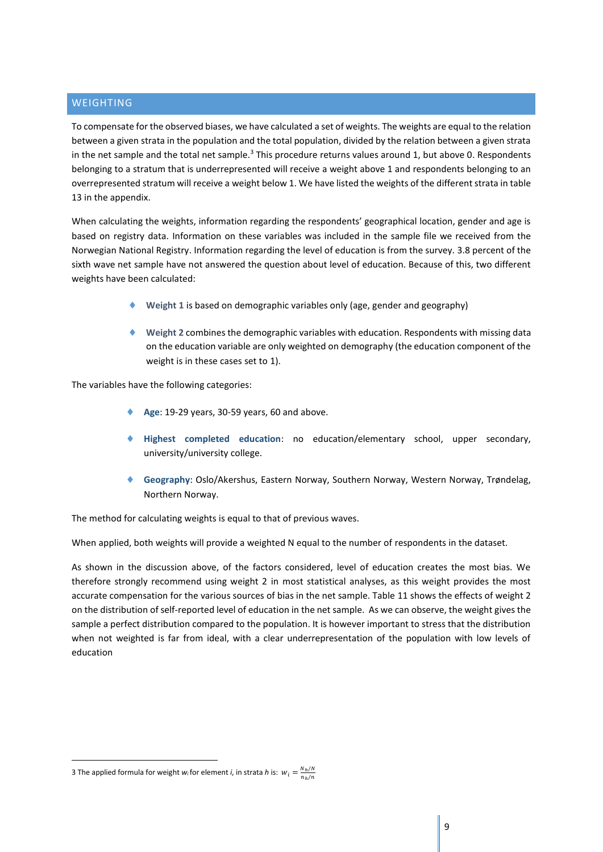#### <span id="page-9-0"></span>WEIGHTING

To compensate for the observed biases, we have calculated a set of weights. The weights are equal to the relation between a given strata in the population and the total population, divided by the relation between a given strata in the net sample and the total net sample. $3$  This procedure returns values around 1, but above 0. Respondents belonging to a stratum that is underrepresented will receive a weight above 1 and respondents belonging to an overrepresented stratum will receive a weight below 1. We have listed the weights of the different strata in table 13 in the appendix.

When calculating the weights, information regarding the respondents' geographical location, gender and age is based on registry data. Information on these variables was included in the sample file we received from the Norwegian National Registry. Information regarding the level of education is from the survey. 3.8 percent of the sixth wave net sample have not answered the question about level of education. Because of this, two different weights have been calculated:

- **Weight 1** is based on demographic variables only (age, gender and geography)
- **Weight 2** combines the demographic variables with education. Respondents with missing data on the education variable are only weighted on demography (the education component of the weight is in these cases set to 1).

The variables have the following categories:

- **Age**: 19-29 years, 30-59 years, 60 and above.
- **Highest completed education**: no education/elementary school, upper secondary, university/university college.
- **Geography**: Oslo/Akershus, Eastern Norway, Southern Norway, Western Norway, Trøndelag, Northern Norway.

The method for calculating weights is equal to that of previous waves.

When applied, both weights will provide a weighted N equal to the number of respondents in the dataset.

As shown in the discussion above, of the factors considered, level of education creates the most bias. We therefore strongly recommend using weight 2 in most statistical analyses, as this weight provides the most accurate compensation for the various sources of bias in the net sample. Table 11 shows the effects of weight 2 on the distribution of self-reported level of education in the net sample. As we can observe, the weight gives the sample a perfect distribution compared to the population. It is however important to stress that the distribution when not weighted is far from ideal, with a clear underrepresentation of the population with low levels of education

<u>.</u>

<sup>3</sup> The applied formula for weight *w*<sub>i</sub> for element *i*, in strata *h* is:  $w_i = \frac{N_h}{n} \frac{m}{m}$  $n_h/n$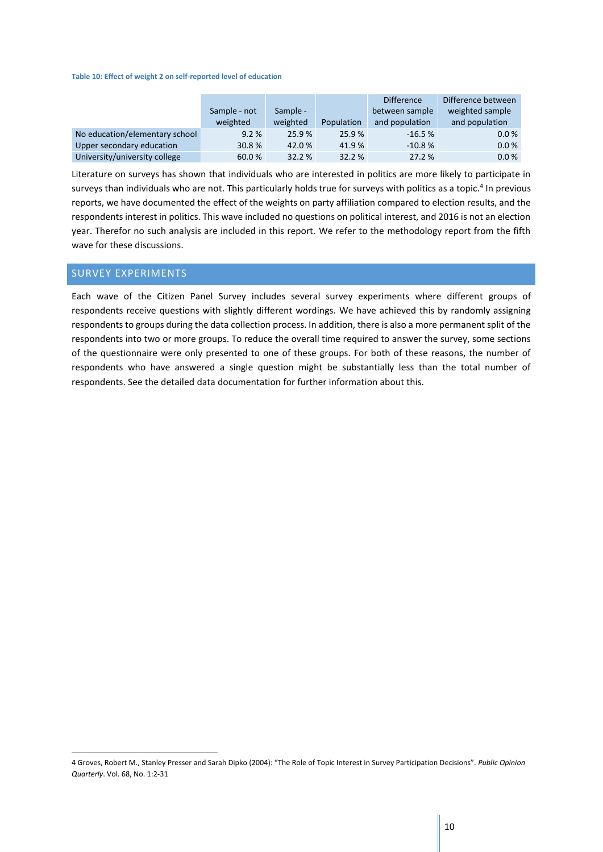#### **Table 10: Effect of weight 2 on self-reported level of education**

|                                |              |          | <b>Difference</b> |                | Difference between |
|--------------------------------|--------------|----------|-------------------|----------------|--------------------|
|                                | Sample - not | Sample - |                   | between sample | weighted sample    |
|                                | weighted     | weighted | Population        | and population | and population     |
| No education/elementary school | 9.2%         | 25.9%    | 25.9%             | $-16.5%$       | 0.0 %              |
| Upper secondary education      | 30.8%        | 42.0%    | 41.9%             | $-10.8%$       | 0.0 %              |
| University/university college  | 60.0%        | 32.2 %   | 32.2 %            | 27.2 %         | 0.0 %              |

Literature on surveys has shown that individuals who are interested in politics are more likely to participate in surveys than individuals who are not. This particularly holds true for surveys with politics as a topic.<sup>4</sup> In previous reports, we have documented the effect of the weights on party affiliation compared to election results, and the respondents interest in politics. This wave included no questions on political interest, and 2016 is not an election year. Therefor no such analysis are included in this report. We refer to the methodology report from the fifth wave for these discussions.

#### <span id="page-10-0"></span>SURVEY EXPERIMENTS

1

Each wave of the Citizen Panel Survey includes several survey experiments where different groups of respondents receive questions with slightly different wordings. We have achieved this by randomly assigning respondents to groups during the data collection process. In addition, there is also a more permanent split of the respondents into two or more groups. To reduce the overall time required to answer the survey, some sections of the questionnaire were only presented to one of these groups. For both of these reasons, the number of respondents who have answered a single question might be substantially less than the total number of respondents. See the detailed data documentation for further information about this.

<sup>4</sup> Groves, Robert M., Stanley Presser and Sarah Dipko (2004): "The Role of Topic Interest in Survey Participation Decisions". *Public Opinion Quarterly*. Vol. 68, No. 1:2-31